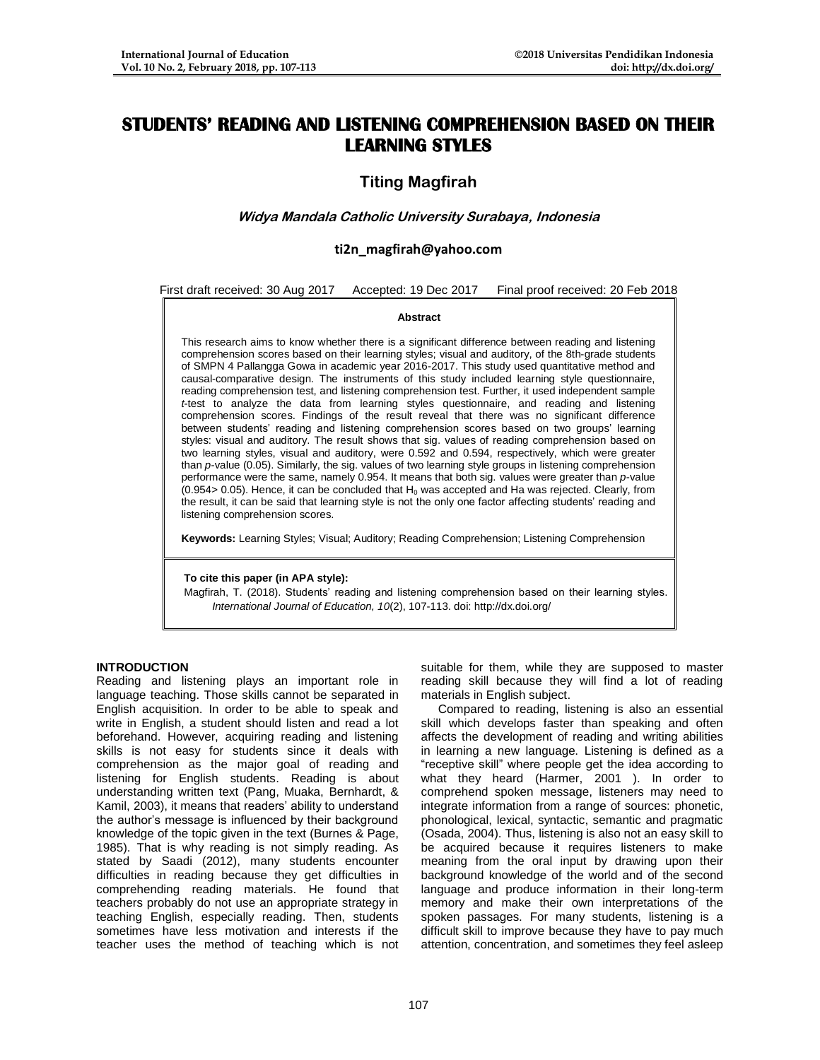# **STUDENTS' READING AND LISTENING COMPREHENSION BASED ON THEIR LEARNING STYLES**

# **Titing Magfirah**

# **Widya Mandala Catholic University Surabaya, Indonesia**

## **ti2n\_magfirah@yahoo.com**

First draft received: 30 Aug 2017 Accepted: 19 Dec 2017 Final proof received: 20 Feb 2018

### **Abstract**

This research aims to know whether there is a significant difference between reading and listening comprehension scores based on their learning styles; visual and auditory, of the 8th-grade students of SMPN 4 Pallangga Gowa in academic year 2016-2017. This study used quantitative method and causal-comparative design. The instruments of this study included learning style questionnaire, reading comprehension test, and listening comprehension test. Further, it used independent sample *t*-test to analyze the data from learning styles questionnaire, and reading and listening comprehension scores. Findings of the result reveal that there was no significant difference between students' reading and listening comprehension scores based on two groups' learning styles: visual and auditory. The result shows that sig. values of reading comprehension based on two learning styles, visual and auditory, were 0.592 and 0.594, respectively, which were greater than *p*-value (0.05). Similarly, the sig. values of two learning style groups in listening comprehension performance were the same, namely 0.954. It means that both sig. values were greater than *p*-value  $(0.954 > 0.05)$ . Hence, it can be concluded that  $H_0$  was accepted and Ha was rejected. Clearly, from the result, it can be said that learning style is not the only one factor affecting students' reading and listening comprehension scores.

**Keywords:** Learning Styles; Visual; Auditory; Reading Comprehension; Listening Comprehension

#### **To cite this paper (in APA style):**

Magfirah, T. (2018). Students' reading and listening comprehension based on their learning styles. *International Journal of Education, 10*(2), 107-113. doi: http://dx.doi.org/

## **INTRODUCTION**

Reading and listening plays an important role in language teaching. Those skills cannot be separated in English acquisition. In order to be able to speak and write in English, a student should listen and read a lot beforehand. However, acquiring reading and listening skills is not easy for students since it deals with comprehension as the major goal of reading and listening for English students. Reading is about understanding written text (Pang, Muaka, Bernhardt, & Kamil, 2003), it means that readers' ability to understand the author's message is influenced by their background knowledge of the topic given in the text (Burnes & Page, 1985). That is why reading is not simply reading. As stated by Saadi (2012), many students encounter difficulties in reading because they get difficulties in comprehending reading materials. He found that teachers probably do not use an appropriate strategy in teaching English, especially reading. Then, students sometimes have less motivation and interests if the teacher uses the method of teaching which is not suitable for them, while they are supposed to master reading skill because they will find a lot of reading materials in English subject.

 Compared to reading, listening is also an essential skill which develops faster than speaking and often affects the development of reading and writing abilities in learning a new language. Listening is defined as a "receptive skill" where people get the idea according to what they heard (Harmer, 2001 ). In order to comprehend spoken message, listeners may need to integrate information from a range of sources: phonetic, phonological, lexical, syntactic, semantic and pragmatic (Osada, 2004). Thus, listening is also not an easy skill to be acquired because it requires listeners to make meaning from the oral input by drawing upon their background knowledge of the world and of the second language and produce information in their long-term memory and make their own interpretations of the spoken passages. For many students, listening is a difficult skill to improve because they have to pay much attention, concentration, and sometimes they feel asleep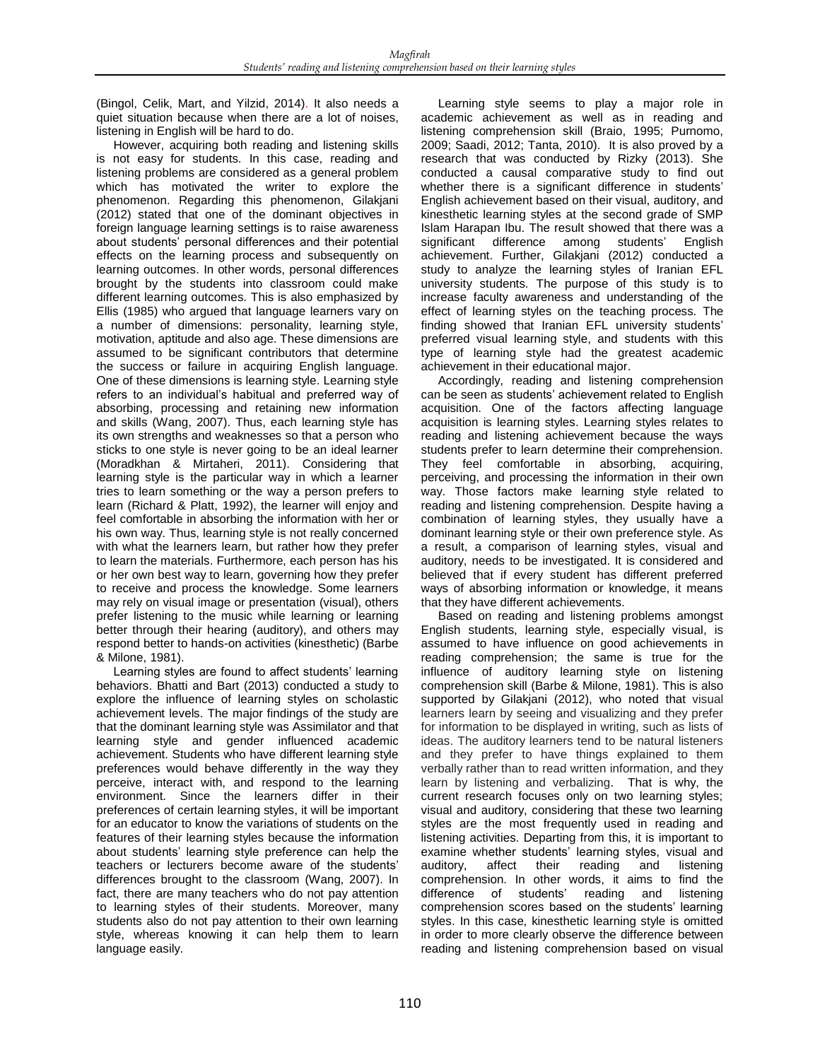(Bingol, Celik, Mart, and Yilzid, 2014). It also needs a quiet situation because when there are a lot of noises, listening in English will be hard to do.

 However, acquiring both reading and listening skills is not easy for students. In this case, reading and listening problems are considered as a general problem which has motivated the writer to explore the phenomenon. Regarding this phenomenon, Gilakjani (2012) stated that one of the dominant objectives in foreign language learning settings is to raise awareness about students' personal differences and their potential effects on the learning process and subsequently on learning outcomes. In other words, personal differences brought by the students into classroom could make different learning outcomes. This is also emphasized by Ellis (1985) who argued that language learners vary on a number of dimensions: personality, learning style, motivation, aptitude and also age. These dimensions are assumed to be significant contributors that determine the success or failure in acquiring English language. One of these dimensions is learning style. Learning style refers to an individual's habitual and preferred way of absorbing, processing and retaining new information and skills (Wang, 2007). Thus, each learning style has its own strengths and weaknesses so that a person who sticks to one style is never going to be an ideal learner (Moradkhan & Mirtaheri, 2011). Considering that learning style is the particular way in which a learner tries to learn something or the way a person prefers to learn (Richard & Platt, 1992), the learner will enjoy and feel comfortable in absorbing the information with her or his own way. Thus, learning style is not really concerned with what the learners learn, but rather how they prefer to learn the materials. Furthermore, each person has his or her own best way to learn, governing how they prefer to receive and process the knowledge. Some learners may rely on visual image or presentation (visual), others prefer listening to the music while learning or learning better through their hearing (auditory), and others may respond better to hands-on activities (kinesthetic) (Barbe & Milone, 1981).

 Learning styles are found to affect students' learning behaviors. Bhatti and Bart (2013) conducted a study to explore the influence of learning styles on scholastic achievement levels. The major findings of the study are that the dominant learning style was Assimilator and that learning style and gender influenced academic achievement. Students who have different learning style preferences would behave differently in the way they perceive, interact with, and respond to the learning environment. Since the learners differ in their preferences of certain learning styles, it will be important for an educator to know the variations of students on the features of their learning styles because the information about students' learning style preference can help the teachers or lecturers become aware of the students' differences brought to the classroom (Wang, 2007). In fact, there are many teachers who do not pay attention to learning styles of their students. Moreover, many students also do not pay attention to their own learning style, whereas knowing it can help them to learn language easily.

 Learning style seems to play a major role in academic achievement as well as in reading and listening comprehension skill (Braio, 1995; Purnomo, 2009; Saadi, 2012; Tanta, 2010). It is also proved by a research that was conducted by Rizky (2013). She conducted a causal comparative study to find out whether there is a significant difference in students' English achievement based on their visual, auditory, and kinesthetic learning styles at the second grade of SMP Islam Harapan Ibu. The result showed that there was a significant difference among students' English achievement. Further, Gilakjani (2012) conducted a study to analyze the learning styles of Iranian EFL university students. The purpose of this study is to increase faculty awareness and understanding of the effect of learning styles on the teaching process. The finding showed that Iranian EFL university students' preferred visual learning style, and students with this type of learning style had the greatest academic achievement in their educational major.

 Accordingly, reading and listening comprehension can be seen as students' achievement related to English acquisition. One of the factors affecting language acquisition is learning styles. Learning styles relates to reading and listening achievement because the ways students prefer to learn determine their comprehension. They feel comfortable in absorbing, acquiring, perceiving, and processing the information in their own way. Those factors make learning style related to reading and listening comprehension. Despite having a combination of learning styles, they usually have a dominant learning style or their own preference style. As a result, a comparison of learning styles, visual and auditory, needs to be investigated. It is considered and believed that if every student has different preferred ways of absorbing information or knowledge, it means that they have different achievements.

 Based on reading and listening problems amongst English students, learning style, especially visual, is assumed to have influence on good achievements in reading comprehension; the same is true for the influence of auditory learning style on listening comprehension skill (Barbe & Milone, 1981). This is also supported by Gilakjani (2012), who noted that visual learners learn by seeing and visualizing and they prefer for information to be displayed in writing, such as lists of ideas. The auditory learners tend to be natural listeners and they prefer to have things explained to them verbally rather than to read written information, and they learn by listening and verbalizing. That is why, the current research focuses only on two learning styles; visual and auditory, considering that these two learning styles are the most frequently used in reading and listening activities. Departing from this, it is important to examine whether students' learning styles, visual and auditory, affect their reading and listening comprehension. In other words, it aims to find the difference of students' reading and listening comprehension scores based on the students' learning styles. In this case, kinesthetic learning style is omitted in order to more clearly observe the difference between reading and listening comprehension based on visual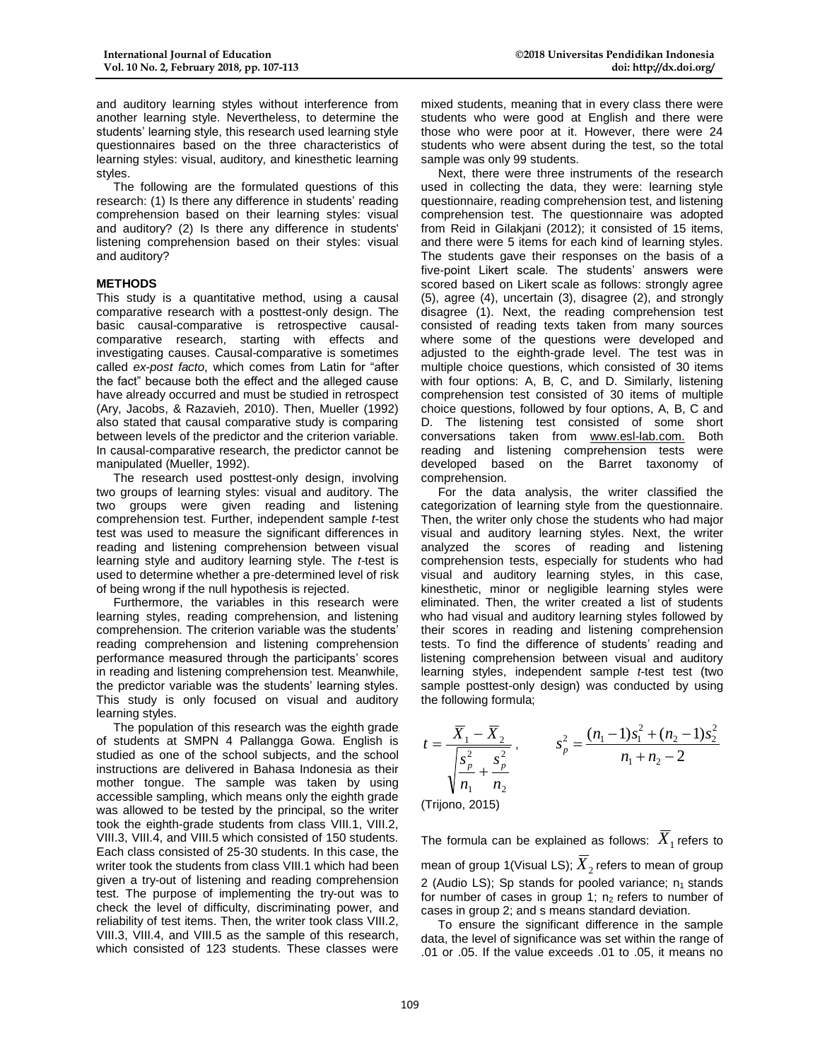and auditory learning styles without interference from another learning style. Nevertheless, to determine the students' learning style, this research used learning style questionnaires based on the three characteristics of learning styles: visual, auditory, and kinesthetic learning styles.

 The following are the formulated questions of this research: (1) Is there any difference in students' reading comprehension based on their learning styles: visual and auditory? (2) Is there any difference in students' listening comprehension based on their styles: visual and auditory?

## **METHODS**

This study is a quantitative method, using a causal comparative research with a posttest-only design. The basic causal-comparative is retrospective causalcomparative research, starting with effects and investigating causes. Causal*-*comparative is sometimes called *ex-post facto*, which comes from Latin for "after the fact" because both the effect and the alleged cause have already occurred and must be studied in retrospect (Ary, Jacobs, & Razavieh, 2010). Then, Mueller (1992) also stated that causal comparative study is comparing between levels of the predictor and the criterion variable. In causal-comparative research, the predictor cannot be manipulated (Mueller, 1992).

 The research used posttest-only design, involving two groups of learning styles: visual and auditory. The two groups were given reading and listening comprehension test. Further, independent sample *t*-test test was used to measure the significant differences in reading and listening comprehension between visual learning style and auditory learning style. The *t*-test is used to determine whether a pre-determined level of risk of being wrong if the null hypothesis is rejected.

Furthermore, the variables in this research were learning styles, reading comprehension, and listening comprehension. The criterion variable was the students' reading comprehension and listening comprehension performance measured through the participants' scores in reading and listening comprehension test. Meanwhile, the predictor variable was the students' learning styles. This study is only focused on visual and auditory learning styles.

 The population of this research was the eighth grade of students at SMPN 4 Pallangga Gowa. English is studied as one of the school subjects, and the school instructions are delivered in Bahasa Indonesia as their mother tongue. The sample was taken by using accessible sampling, which means only the eighth grade was allowed to be tested by the principal, so the writer took the eighth-grade students from class VIII.1, VIII.2, VIII.3, VIII.4, and VIII.5 which consisted of 150 students. Each class consisted of 25-30 students. In this case, the writer took the students from class VIII.1 which had been given a try-out of listening and reading comprehension test. The purpose of implementing the try-out was to check the level of difficulty, discriminating power, and reliability of test items. Then, the writer took class VIII.2, VIII.3, VIII.4, and VIII.5 as the sample of this research, which consisted of 123 students. These classes were

mixed students, meaning that in every class there were students who were good at English and there were those who were poor at it. However, there were 24 students who were absent during the test, so the total sample was only 99 students.

 Next, there were three instruments of the research used in collecting the data, they were: learning style questionnaire, reading comprehension test, and listening comprehension test. The questionnaire was adopted from Reid in Gilakjani (2012); it consisted of 15 items, and there were 5 items for each kind of learning styles. The students gave their responses on the basis of a five-point Likert scale. The students' answers were scored based on Likert scale as follows: strongly agree (5), agree (4), uncertain (3), disagree (2), and strongly disagree (1). Next, the reading comprehension test consisted of reading texts taken from many sources where some of the questions were developed and adjusted to the eighth-grade level. The test was in multiple choice questions, which consisted of 30 items with four options: A, B, C, and D. Similarly, listening comprehension test consisted of 30 items of multiple choice questions, followed by four options, A, B, C and D. The listening test consisted of some short conversations taken from www.esl-lab.com. Both reading and listening comprehension tests were developed based on the Barret taxonomy of comprehension.

 For the data analysis, the writer classified the categorization of learning style from the questionnaire. Then, the writer only chose the students who had major visual and auditory learning styles. Next, the writer analyzed the scores of reading and listening comprehension tests, especially for students who had visual and auditory learning styles, in this case, kinesthetic, minor or negligible learning styles were eliminated. Then, the writer created a list of students who had visual and auditory learning styles followed by their scores in reading and listening comprehension tests. To find the difference of students' reading and listening comprehension between visual and auditory learning styles, independent sample *t*-test test (two sample posttest-only design) was conducted by using the following formula;

$$
t = \frac{\overline{X}_1 - \overline{X}_2}{\sqrt{\frac{s_p^2}{n_1} + \frac{s_p^2}{n_2}}}, \qquad s_p^2 = \frac{(n_1 - 1)s_1^2 + (n_2 - 1)s_2^2}{n_1 + n_2 - 2}
$$

(Trijono, 2015)

The formula can be explained as follows:  $\overline{X}_{{}_{1}}$  refers to mean of group 1(Visual LS);  $\overline{X}_{2}$  refers to mean of group 2 (Audio LS); Sp stands for pooled variance;  $n_1$  stands for number of cases in group 1;  $n_2$  refers to number of cases in group 2; and s means standard deviation.

 To ensure the significant difference in the sample data, the level of significance was set within the range of .01 or .05. If the value exceeds .01 to .05, it means no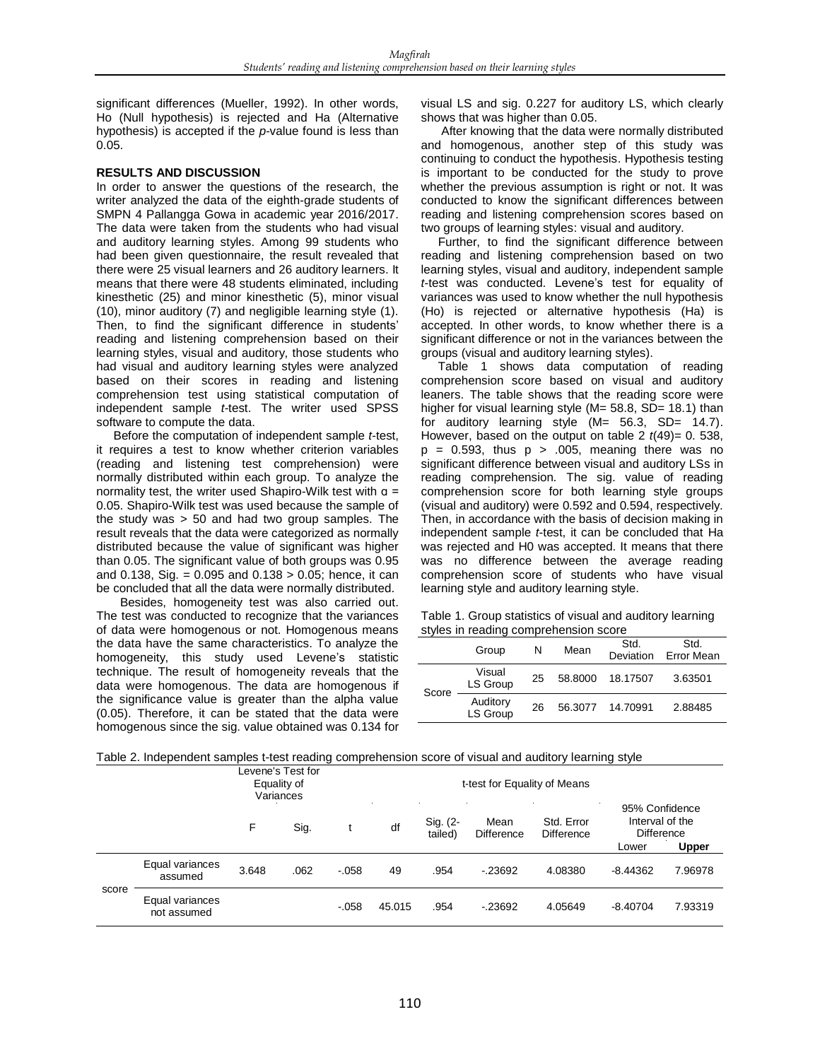significant differences (Mueller, 1992). In other words, Ho (Null hypothesis) is rejected and Ha (Alternative hypothesis) is accepted if the *p*-value found is less than 0.05.

## **RESULTS AND DISCUSSION**

In order to answer the questions of the research, the writer analyzed the data of the eighth-grade students of SMPN 4 Pallangga Gowa in academic year 2016/2017. The data were taken from the students who had visual and auditory learning styles. Among 99 students who had been given questionnaire, the result revealed that there were 25 visual learners and 26 auditory learners. It means that there were 48 students eliminated, including kinesthetic (25) and minor kinesthetic (5), minor visual (10), minor auditory (7) and negligible learning style (1). Then, to find the significant difference in students' reading and listening comprehension based on their learning styles, visual and auditory, those students who had visual and auditory learning styles were analyzed based on their scores in reading and listening comprehension test using statistical computation of independent sample *t*-test. The writer used SPSS software to compute the data.

 Before the computation of independent sample *t*-test, it requires a test to know whether criterion variables (reading and listening test comprehension) were normally distributed within each group. To analyze the normality test, the writer used Shapiro-Wilk test with  $a =$ 0.05. Shapiro-Wilk test was used because the sample of the study was  $> 50$  and had two group samples. The result reveals that the data were categorized as normally distributed because the value of significant was higher than 0.05. The significant value of both groups was 0.95 and 0.138, Sig. =  $0.095$  and  $0.138 > 0.05$ ; hence, it can be concluded that all the data were normally distributed.

 Besides, homogeneity test was also carried out. The test was conducted to recognize that the variances of data were homogenous or not. Homogenous means the data have the same characteristics. To analyze the homogeneity, this study used Levene's statistic technique. The result of homogeneity reveals that the data were homogenous. The data are homogenous if the significance value is greater than the alpha value (0.05). Therefore, it can be stated that the data were homogenous since the sig. value obtained was 0.134 for visual LS and sig. 0.227 for auditory LS, which clearly shows that was higher than 0.05.

 After knowing that the data were normally distributed and homogenous, another step of this study was continuing to conduct the hypothesis. Hypothesis testing is important to be conducted for the study to prove whether the previous assumption is right or not. It was conducted to know the significant differences between reading and listening comprehension scores based on two groups of learning styles: visual and auditory.

 Further, to find the significant difference between reading and listening comprehension based on two learning styles, visual and auditory, independent sample *t*-test was conducted. Levene's test for equality of variances was used to know whether the null hypothesis (Ho) is rejected or alternative hypothesis (Ha) is accepted. In other words, to know whether there is a significant difference or not in the variances between the groups (visual and auditory learning styles).

 Table 1 shows data computation of reading comprehension score based on visual and auditory leaners. The table shows that the reading score were higher for visual learning style (M= 58.8, SD= 18.1) than for auditory learning style (M= 56.3, SD= 14.7). However, based on the output on table  $2 t(49) = 0.538$ ,  $p = 0.593$ , thus  $p > .005$ , meaning there was no significant difference between visual and auditory LSs in reading comprehension. The sig. value of reading comprehension score for both learning style groups (visual and auditory) were 0.592 and 0.594, respectively. Then, in accordance with the basis of decision making in independent sample *t*-test, it can be concluded that Ha was rejected and H0 was accepted. It means that there was no difference between the average reading comprehension score of students who have visual learning style and auditory learning style.

Table 1. Group statistics of visual and auditory learning styles in reading comprehension score

|       | ----------------<br>Group | N  | Mean    | Std.<br>Deviation | Std.<br>Error Mean |
|-------|---------------------------|----|---------|-------------------|--------------------|
| Score | Visual<br>LS Group        | 25 | 58.8000 | 18.17507          | 3.63501            |
|       | Auditory<br>LS Group      | 26 | 56.3077 | 14.70991          | 2.88485            |

| Table 2. Independent samples t-test reading comprehension score of visual and auditory learning style |
|-------------------------------------------------------------------------------------------------------|
|-------------------------------------------------------------------------------------------------------|

|       |                                | Levene's Test for<br>Equality of<br>Variances |      |         | t-test for Equality of Means |                     |                           |                                 |                                                        |         |
|-------|--------------------------------|-----------------------------------------------|------|---------|------------------------------|---------------------|---------------------------|---------------------------------|--------------------------------------------------------|---------|
|       |                                | F                                             | Sig. |         | df                           | Sig. (2-<br>tailed) | Mean<br><b>Difference</b> | Std. Error<br><b>Difference</b> | 95% Confidence<br>Interval of the<br><b>Difference</b> |         |
|       |                                |                                               |      |         |                              |                     |                           |                                 | Lower                                                  | Upper   |
| score | Equal variances<br>assumed     | 3.648                                         | .062 | $-.058$ | 49                           | .954                | $-23692$                  | 4.08380                         | $-8.44362$                                             | 7.96978 |
|       | Equal variances<br>not assumed |                                               |      | $-.058$ | 45.015                       | .954                | $-23692$                  | 4.05649                         | $-8.40704$                                             | 7.93319 |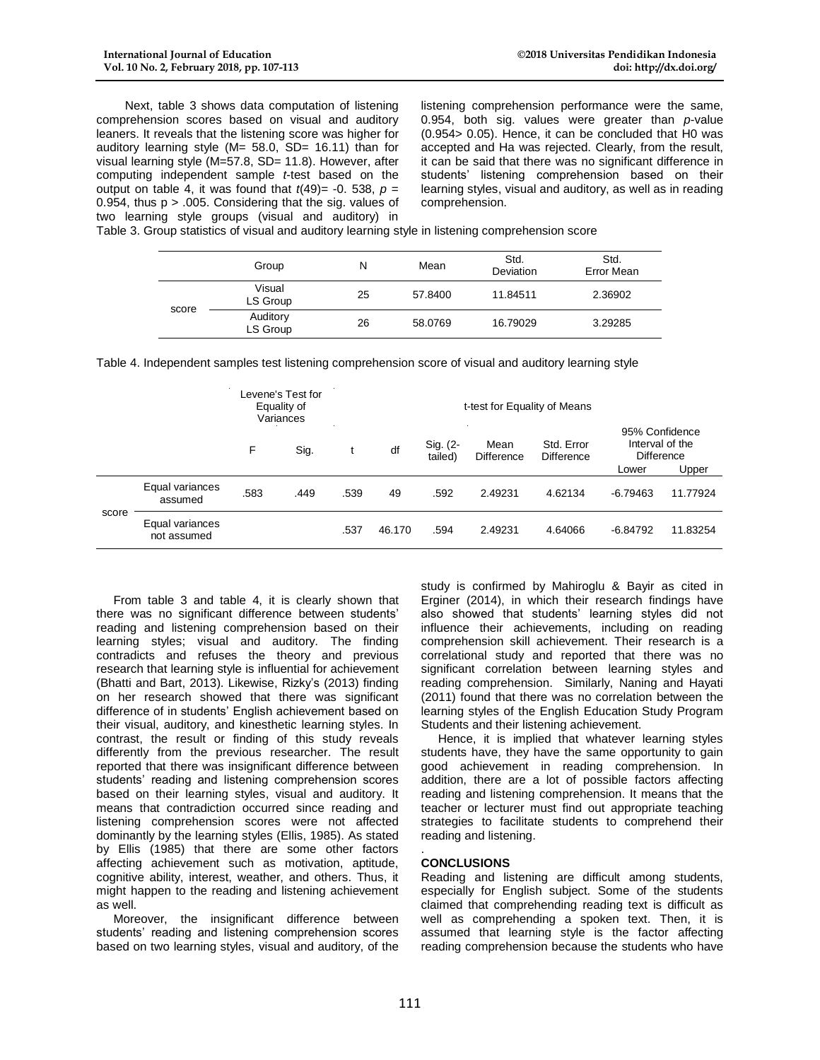Next, table 3 shows data computation of listening comprehension scores based on visual and auditory leaners. It reveals that the listening score was higher for auditory learning style (M= 58.0, SD= 16.11) than for visual learning style (M=57.8, SD= 11.8). However, after computing independent sample *t*-test based on the output on table 4, it was found that  $t(49) = -0.538$ ,  $p =$ 0.954, thus  $p > 0.005$ . Considering that the sig. values of two learning style groups (visual and auditory) in

listening comprehension performance were the same, 0.954, both sig. values were greater than *p*-value (0.954> 0.05). Hence, it can be concluded that H0 was accepted and Ha was rejected. Clearly, from the result, it can be said that there was no significant difference in students' listening comprehension based on their learning styles, visual and auditory, as well as in reading comprehension.

Table 3. Group statistics of visual and auditory learning style in listening comprehension score

|       | Group                | Ν  | Mean    | Std.<br>Deviation | Std.<br>Error Mean |
|-------|----------------------|----|---------|-------------------|--------------------|
| score | Visual<br>LS Group   | 25 | 57.8400 | 11.84511          | 2.36902            |
|       | Auditory<br>LS Group | 26 | 58.0769 | 16.79029          | 3.29285            |

Table 4. Independent samples test listening comprehension score of visual and auditory learning style

|       |                                |      | Levene's Test for<br>Equality of<br>Variances | t-test for Equality of Means |                     |                           |                                 |                                                        |            |          |
|-------|--------------------------------|------|-----------------------------------------------|------------------------------|---------------------|---------------------------|---------------------------------|--------------------------------------------------------|------------|----------|
|       |                                |      | F<br>Sig.                                     | df                           | Sig. (2-<br>tailed) | Mean<br><b>Difference</b> | Std. Error<br><b>Difference</b> | 95% Confidence<br>Interval of the<br><b>Difference</b> |            |          |
|       |                                |      |                                               |                              |                     |                           |                                 |                                                        | Lower      | Upper    |
| score | Equal variances<br>assumed     | .583 | .449                                          | .539                         | 49                  | .592                      | 2.49231                         | 4.62134                                                | $-6.79463$ | 11.77924 |
|       | Equal variances<br>not assumed |      |                                               | .537                         | 46.170              | .594                      | 2.49231                         | 4.64066                                                | $-6.84792$ | 11.83254 |

From table 3 and table 4, it is clearly shown that there was no significant difference between students' reading and listening comprehension based on their learning styles; visual and auditory. The finding contradicts and refuses the theory and previous research that learning style is influential for achievement (Bhatti and Bart, 2013). Likewise, Rizky's (2013) finding on her research showed that there was significant difference of in students' English achievement based on their visual, auditory, and kinesthetic learning styles. In contrast, the result or finding of this study reveals differently from the previous researcher. The result reported that there was insignificant difference between students' reading and listening comprehension scores based on their learning styles, visual and auditory. It means that contradiction occurred since reading and listening comprehension scores were not affected dominantly by the learning styles (Ellis, 1985). As stated by Ellis (1985) that there are some other factors affecting achievement such as motivation, aptitude, cognitive ability, interest, weather, and others. Thus, it might happen to the reading and listening achievement as well.

 Moreover, the insignificant difference between students' reading and listening comprehension scores based on two learning styles, visual and auditory, of the study is confirmed by Mahiroglu & Bayir as cited in Erginer (2014), in which their research findings have also showed that students' learning styles did not influence their achievements, including on reading comprehension skill achievement. Their research is a correlational study and reported that there was no significant correlation between learning styles and reading comprehension. Similarly, Naning and Hayati (2011) found that there was no correlation between the learning styles of the English Education Study Program Students and their listening achievement.

 Hence, it is implied that whatever learning styles students have, they have the same opportunity to gain good achievement in reading comprehension. In addition, there are a lot of possible factors affecting reading and listening comprehension. It means that the teacher or lecturer must find out appropriate teaching strategies to facilitate students to comprehend their reading and listening.

#### . **CONCLUSIONS**

Reading and listening are difficult among students, especially for English subject. Some of the students claimed that comprehending reading text is difficult as well as comprehending a spoken text. Then, it is assumed that learning style is the factor affecting reading comprehension because the students who have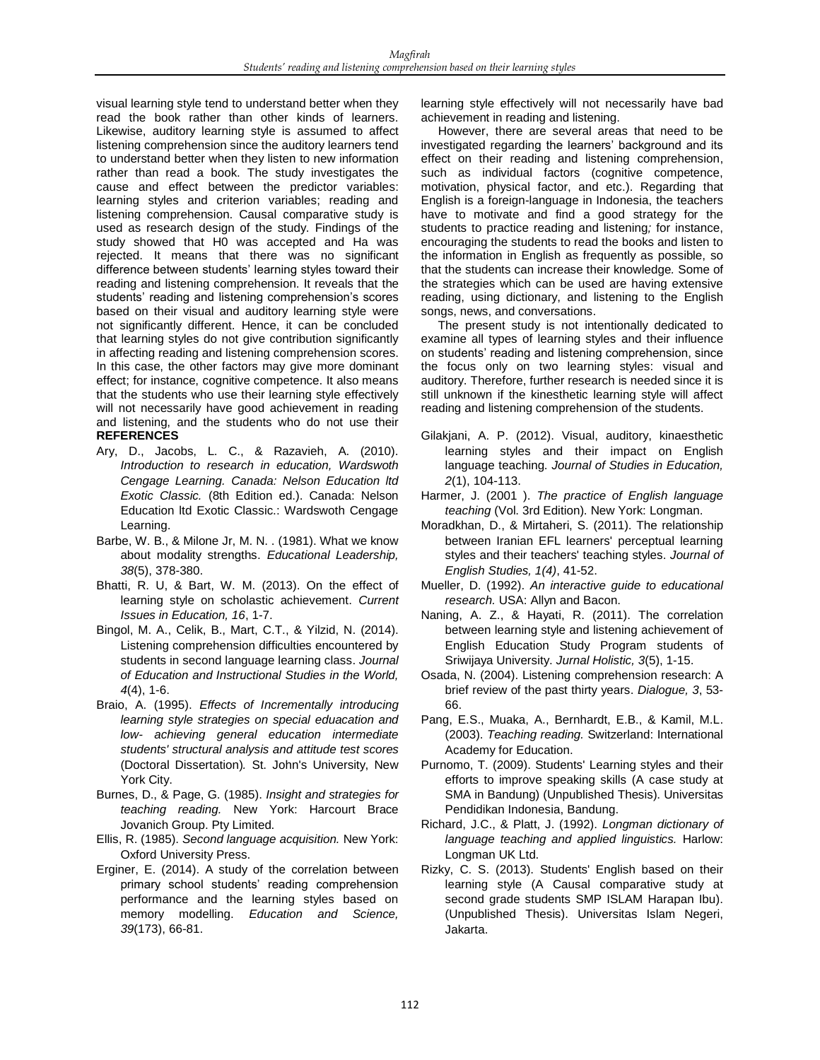visual learning style tend to understand better when they read the book rather than other kinds of learners. Likewise, auditory learning style is assumed to affect listening comprehension since the auditory learners tend to understand better when they listen to new information rather than read a book. The study investigates the cause and effect between the predictor variables: learning styles and criterion variables; reading and listening comprehension. Causal comparative study is used as research design of the study. Findings of the study showed that H0 was accepted and Ha was rejected. It means that there was no significant difference between students' learning styles toward their reading and listening comprehension. It reveals that the students' reading and listening comprehension's scores based on their visual and auditory learning style were not significantly different. Hence, it can be concluded that learning styles do not give contribution significantly in affecting reading and listening comprehension scores. In this case, the other factors may give more dominant effect; for instance, cognitive competence. It also means that the students who use their learning style effectively will not necessarily have good achievement in reading and listening, and the students who do not use their **REFERENCES**

- Ary, D., Jacobs, L. C., & Razavieh, A. (2010). *Introduction to research in education, Wardswoth Cengage Learning. Canada: Nelson Education ltd Exotic Classic.* (8th Edition ed.). Canada: Nelson Education ltd Exotic Classic.: Wardswoth Cengage Learning.
- Barbe, W. B., & Milone Jr. M. N., (1981). What we know about modality strengths. *Educational Leadership, 38*(5), 378-380.
- Bhatti, R. U, & Bart, W. M. (2013). On the effect of learning style on scholastic achievement. *Current Issues in Education, 16*, 1-7.
- Bingol, M. A., Celik, B., Mart, C.T., & Yilzid, N. (2014). Listening comprehension difficulties encountered by students in second language learning class. *Journal of Education and Instructional Studies in the World, 4*(4), 1-6.
- Braio, A. (1995). *Effects of Incrementally introducing learning style strategies on special eduacation and low- achieving general education intermediate students' structural analysis and attitude test scores* (Doctoral Dissertation)*.* St. John's University, New York City.
- Burnes, D., & Page, G. (1985). *Insight and strategies for teaching reading.* New York: Harcourt Brace Jovanich Group. Pty Limited.
- Ellis, R. (1985). *Second language acquisition.* New York: Oxford University Press.
- Erginer, E. (2014). A study of the correlation between primary school students' reading comprehension performance and the learning styles based on memory modelling. *Education and Science, 39*(173), 66-81.

learning style effectively will not necessarily have bad achievement in reading and listening.

 However, there are several areas that need to be investigated regarding the learners' background and its effect on their reading and listening comprehension, such as individual factors (cognitive competence, motivation, physical factor, and etc.). Regarding that English is a foreign-language in Indonesia, the teachers have to motivate and find a good strategy for the students to practice reading and listening*;* for instance, encouraging the students to read the books and listen to the information in English as frequently as possible, so that the students can increase their knowledge*.* Some of the strategies which can be used are having extensive reading, using dictionary, and listening to the English songs, news, and conversations.

 The present study is not intentionally dedicated to examine all types of learning styles and their influence on students' reading and listening comprehension, since the focus only on two learning styles: visual and auditory. Therefore, further research is needed since it is still unknown if the kinesthetic learning style will affect reading and listening comprehension of the students.

- Gilakjani, A. P. (2012). Visual, auditory, kinaesthetic learning styles and their impact on English language teaching. *Journal of Studies in Education, 2*(1), 104-113.
- Harmer, J. (2001 ). *The practice of English language teaching* (Vol. 3rd Edition). New York: Longman.
- Moradkhan, D., & Mirtaheri, S. (2011). The relationship between Iranian EFL learners' perceptual learning styles and their teachers' teaching styles. *Journal of English Studies, 1(4)*, 41-52.
- Mueller, D. (1992). *An interactive guide to educational research.* USA: Allyn and Bacon.
- Naning, A. Z., & Hayati, R. (2011). The correlation between learning style and listening achievement of English Education Study Program students of Sriwijaya University. *Jurnal Holistic, 3*(5), 1-15.
- Osada, N. (2004). Listening comprehension research: A brief review of the past thirty years. *Dialogue, 3*, 53- 66.
- Pang, E.S., Muaka, A., Bernhardt, E.B., & Kamil, M.L. (2003). *Teaching reading.* Switzerland: International Academy for Education.
- Purnomo, T. (2009). Students' Learning styles and their efforts to improve speaking skills (A case study at SMA in Bandung) (Unpublished Thesis). Universitas Pendidikan Indonesia, Bandung.
- Richard, J.C., & Platt, J. (1992). *Longman dictionary of language teaching and applied linguistics.* Harlow: Longman UK Ltd.
- Rizky, C. S. (2013). Students' English based on their learning style (A Causal comparative study at second grade students SMP ISLAM Harapan Ibu). (Unpublished Thesis). Universitas Islam Negeri, Jakarta.